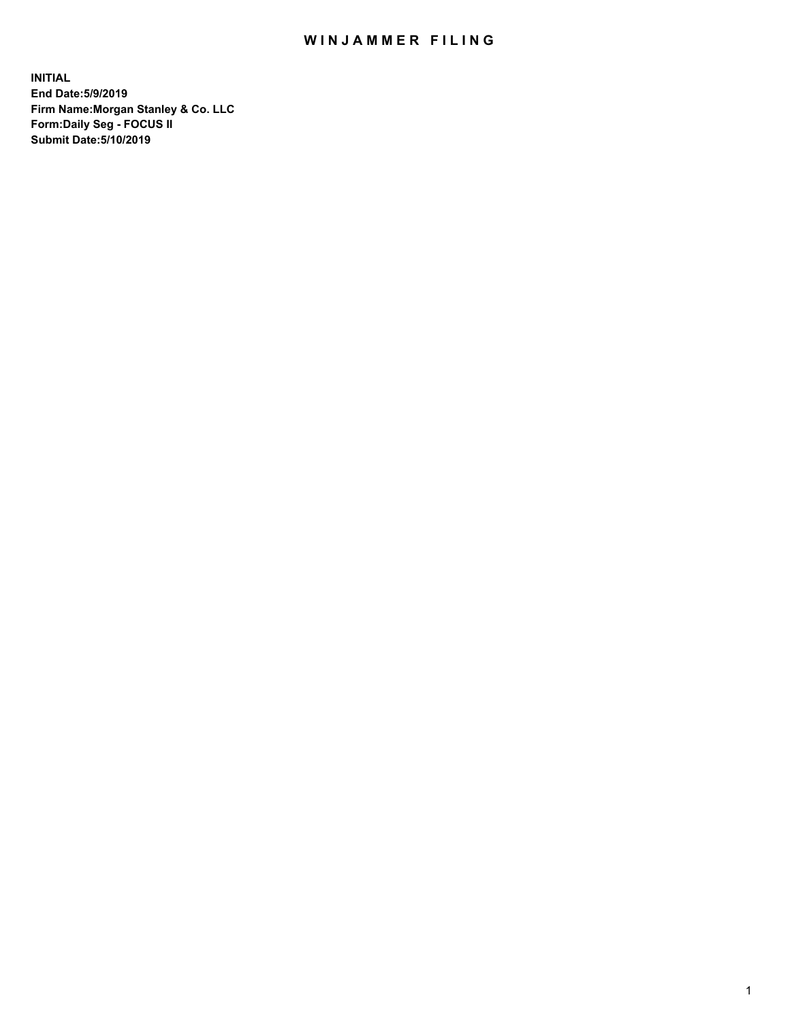## WIN JAMMER FILING

**INITIAL End Date:5/9/2019 Firm Name:Morgan Stanley & Co. LLC Form:Daily Seg - FOCUS II Submit Date:5/10/2019**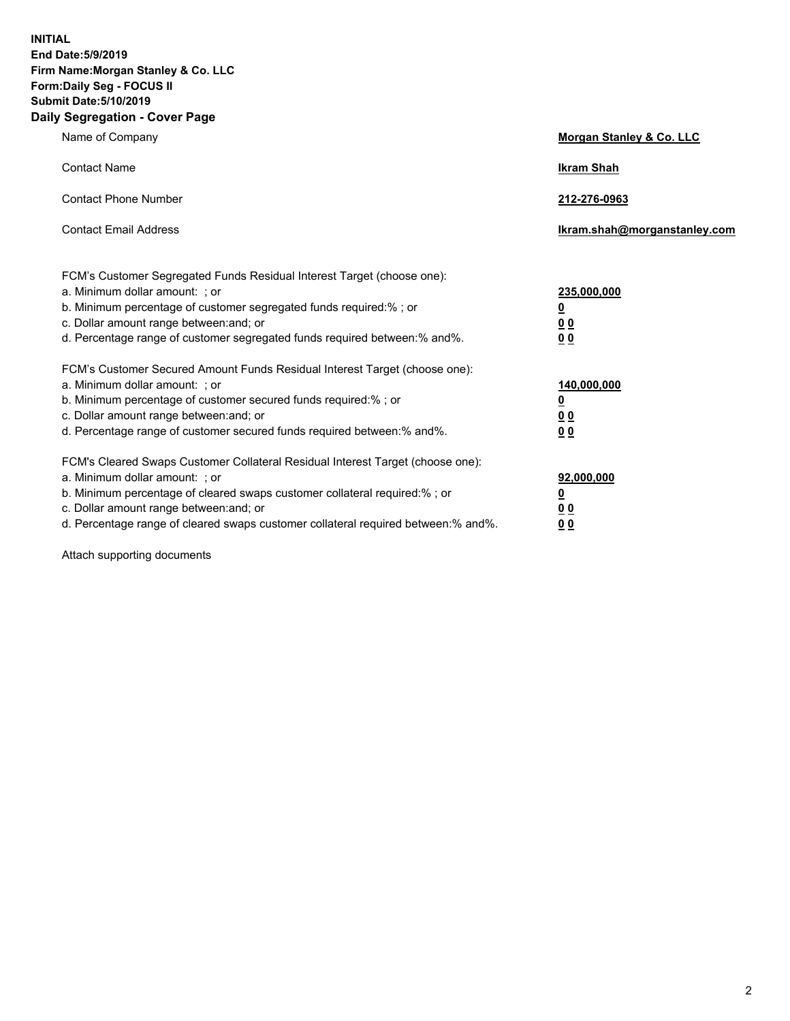**INITIAL End Date:5/9/2019 Firm Name:Morgan Stanley & Co. LLC Form:Daily Seg - FOCUS II Submit Date:5/10/2019 Daily Segregation - Cover Page**

| Name of Company                                                                                                                                                                                                                                                                                                               | Morgan Stanley & Co. LLC                                    |
|-------------------------------------------------------------------------------------------------------------------------------------------------------------------------------------------------------------------------------------------------------------------------------------------------------------------------------|-------------------------------------------------------------|
| <b>Contact Name</b>                                                                                                                                                                                                                                                                                                           | <b>Ikram Shah</b>                                           |
| <b>Contact Phone Number</b>                                                                                                                                                                                                                                                                                                   | 212-276-0963                                                |
| <b>Contact Email Address</b>                                                                                                                                                                                                                                                                                                  | Ikram.shah@morganstanley.com                                |
| FCM's Customer Segregated Funds Residual Interest Target (choose one):<br>a. Minimum dollar amount: ; or<br>b. Minimum percentage of customer segregated funds required:% ; or<br>c. Dollar amount range between: and; or<br>d. Percentage range of customer segregated funds required between:% and%.                        | 235,000,000<br><u>0</u><br>00<br><u>00</u>                  |
| FCM's Customer Secured Amount Funds Residual Interest Target (choose one):<br>a. Minimum dollar amount: ; or<br>b. Minimum percentage of customer secured funds required:%; or<br>c. Dollar amount range between: and; or<br>d. Percentage range of customer secured funds required between:% and%.                           | 140,000,000<br><u>0</u><br>0 <sub>0</sub><br>0 <sup>0</sup> |
| FCM's Cleared Swaps Customer Collateral Residual Interest Target (choose one):<br>a. Minimum dollar amount: ; or<br>b. Minimum percentage of cleared swaps customer collateral required:%; or<br>c. Dollar amount range between: and; or<br>d. Percentage range of cleared swaps customer collateral required between:% and%. | 92,000,000<br><u>0</u><br><u>00</u><br>00                   |

Attach supporting documents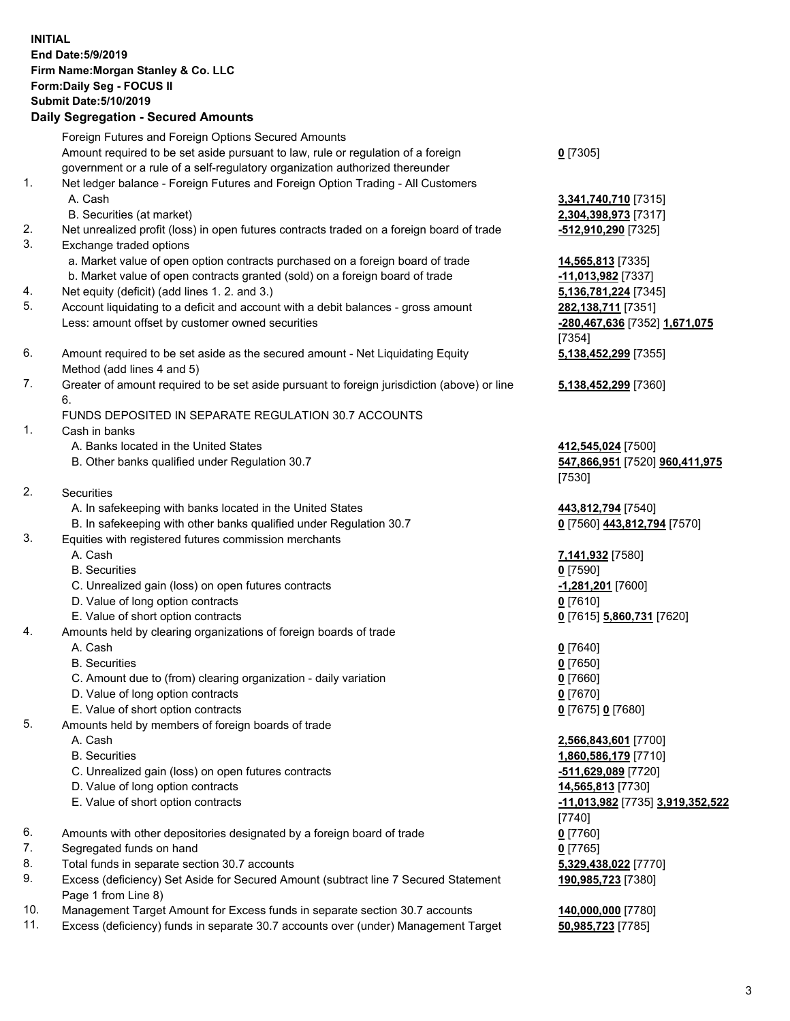## **INITIAL End Date:5/9/2019 Firm Name:Morgan Stanley & Co. LLC Form:Daily Seg - FOCUS II Submit Date:5/10/2019 Daily Segregation - Secured Amounts**

Foreign Futures and Foreign Options Secured Amounts Amount required to be set aside pursuant to law, rule or regulation of a foreign government or a rule of a self-regulatory organization authorized thereunder 1. Net ledger balance - Foreign Futures and Foreign Option Trading - All Customers A. Cash **3,341,740,710** [7315] B. Securities (at market) **2,304,398,973** [7317] 2. Net unrealized profit (loss) in open futures contracts traded on a foreign board of trade **-512,910,290** [7325] 3. Exchange traded options a. Market value of open option contracts purchased on a foreign board of trade **14,565,813** [7335] b. Market value of open contracts granted (sold) on a foreign board of trade **-11,013,982** [7337] 4. Net equity (deficit) (add lines 1. 2. and 3.) **5,136,781,224** [7345] 5. Account liquidating to a deficit and account with a debit balances - gross amount **282,138,711** [7351] Less: amount offset by customer owned securities **-280,467,636** [7352] **1,671,075** 6. Amount required to be set aside as the secured amount - Net Liquidating Equity Method (add lines 4 and 5) 7. Greater of amount required to be set aside pursuant to foreign jurisdiction (above) or line 6. FUNDS DEPOSITED IN SEPARATE REGULATION 30.7 ACCOUNTS 1. Cash in banks A. Banks located in the United States **412,545,024** [7500] B. Other banks qualified under Regulation 30.7 **547,866,951** [7520] **960,411,975** 2. Securities A. In safekeeping with banks located in the United States **443,812,794** [7540] B. In safekeeping with other banks qualified under Regulation 30.7 **0** [7560] **443,812,794** [7570] 3. Equities with registered futures commission merchants A. Cash **7,141,932** [7580] B. Securities **0** [7590] C. Unrealized gain (loss) on open futures contracts **-1,281,201** [7600]

- D. Value of long option contracts **0** [7610]
- E. Value of short option contracts **0** [7615] **5,860,731** [7620]
- 4. Amounts held by clearing organizations of foreign boards of trade
	- A. Cash **0** [7640]
	- B. Securities **0** [7650]
	- C. Amount due to (from) clearing organization daily variation **0** [7660]
	- D. Value of long option contracts **0** [7670]
	- E. Value of short option contracts **0** [7675] **0** [7680]
- 5. Amounts held by members of foreign boards of trade
	-
	-
	- C. Unrealized gain (loss) on open futures contracts **-511,629,089** [7720]
	- D. Value of long option contracts **14,565,813** [7730]
	- E. Value of short option contracts **-11,013,982** [7735] **3,919,352,522**
- 6. Amounts with other depositories designated by a foreign board of trade **0** [7760]
- 7. Segregated funds on hand **0** [7765]
- 8. Total funds in separate section 30.7 accounts **5,329,438,022** [7770]
- 9. Excess (deficiency) Set Aside for Secured Amount (subtract line 7 Secured Statement Page 1 from Line 8)
- 10. Management Target Amount for Excess funds in separate section 30.7 accounts **140,000,000** [7780]
- 11. Excess (deficiency) funds in separate 30.7 accounts over (under) Management Target **50,985,723** [7785]

**0** [7305]

[7354] **5,138,452,299** [7355]

**5,138,452,299** [7360]

[7530]

 A. Cash **2,566,843,601** [7700] B. Securities **1,860,586,179** [7710] [7740] **190,985,723** [7380]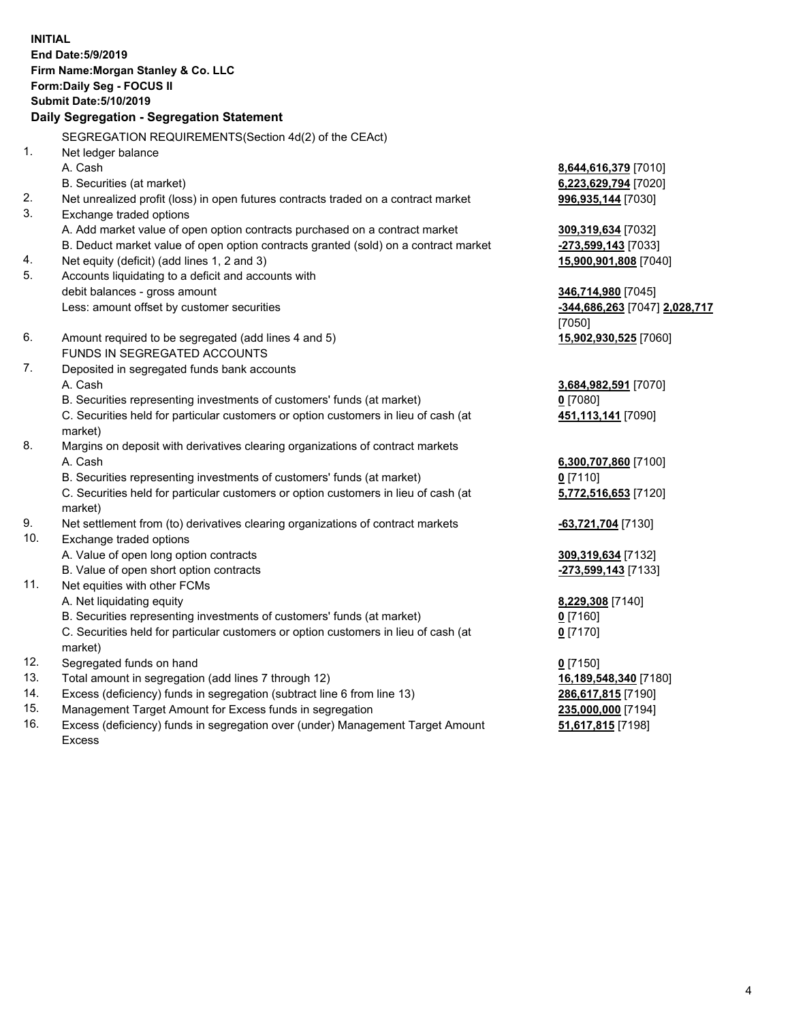**INITIAL End Date:5/9/2019 Firm Name:Morgan Stanley & Co. LLC Form:Daily Seg - FOCUS II Submit Date:5/10/2019 Daily Segregation - Segregation Statement** SEGREGATION REQUIREMENTS(Section 4d(2) of the CEAct) 1. Net ledger balance A. Cash **8,644,616,379** [7010] B. Securities (at market) **6,223,629,794** [7020] 2. Net unrealized profit (loss) in open futures contracts traded on a contract market **996,935,144** [7030] 3. Exchange traded options A. Add market value of open option contracts purchased on a contract market **309,319,634** [7032] B. Deduct market value of open option contracts granted (sold) on a contract market **-273,599,143** [7033] 4. Net equity (deficit) (add lines 1, 2 and 3) **15,900,901,808** [7040] 5. Accounts liquidating to a deficit and accounts with debit balances - gross amount **346,714,980** [7045] Less: amount offset by customer securities **-344,686,263** [7047] **2,028,717** [7050] 6. Amount required to be segregated (add lines 4 and 5) **15,902,930,525** [7060] FUNDS IN SEGREGATED ACCOUNTS 7. Deposited in segregated funds bank accounts A. Cash **3,684,982,591** [7070] B. Securities representing investments of customers' funds (at market) **0** [7080] C. Securities held for particular customers or option customers in lieu of cash (at market) **451,113,141** [7090] 8. Margins on deposit with derivatives clearing organizations of contract markets A. Cash **6,300,707,860** [7100] B. Securities representing investments of customers' funds (at market) **0** [7110] C. Securities held for particular customers or option customers in lieu of cash (at market) **5,772,516,653** [7120] 9. Net settlement from (to) derivatives clearing organizations of contract markets **-63,721,704** [7130] 10. Exchange traded options A. Value of open long option contracts **309,319,634** [7132] B. Value of open short option contracts **-273,599,143** [7133] 11. Net equities with other FCMs A. Net liquidating equity **8,229,308** [7140] B. Securities representing investments of customers' funds (at market) **0** [7160] C. Securities held for particular customers or option customers in lieu of cash (at market) **0** [7170] 12. Segregated funds on hand **0** [7150] 13. Total amount in segregation (add lines 7 through 12) **16,189,548,340** [7180] 14. Excess (deficiency) funds in segregation (subtract line 6 from line 13) **286,617,815** [7190]

- 15. Management Target Amount for Excess funds in segregation **235,000,000** [7194]
- 16. Excess (deficiency) funds in segregation over (under) Management Target Amount Excess

**51,617,815** [7198]